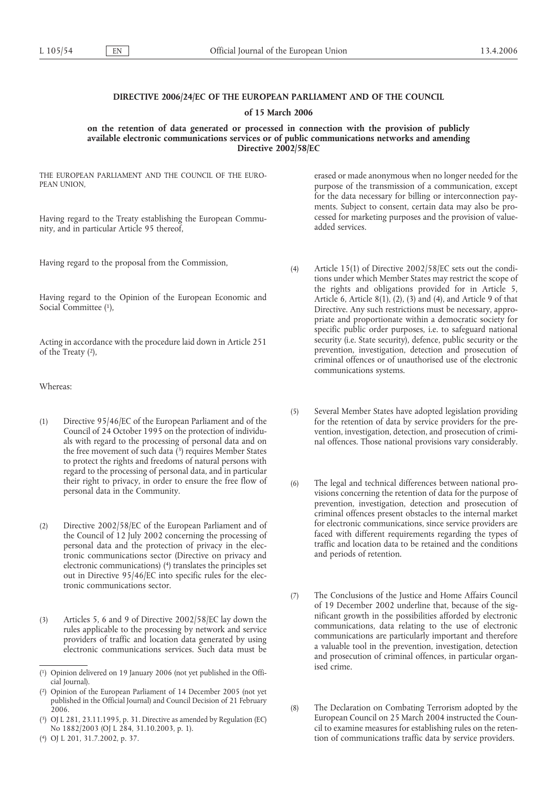# **DIRECTIVE 2006/24/EC OF THE EUROPEAN PARLIAMENT AND OF THE COUNCIL**

### **of 15 March 2006**

**on the retention of data generated or processed in connection with the provision of publicly available electronic communications services or of public communications networks and amending Directive 2002/58/EC**

THE EUROPEAN PARLIAMENT AND THE COUNCIL OF THE EURO-PEAN UNION,

Having regard to the Treaty establishing the European Community, and in particular Article 95 thereof,

Having regard to the proposal from the Commission,

Having regard to the Opinion of the European Economic and Social Committee (1),

Acting in accordance with the procedure laid down in Article 251 of the Treaty (2),

Whereas:

- (1) Directive 95/46/EC of the European Parliament and of the Council of 24 October 1995 on the protection of individuals with regard to the processing of personal data and on the free movement of such data  $(3)$  requires Member States to protect the rights and freedoms of natural persons with regard to the processing of personal data, and in particular their right to privacy, in order to ensure the free flow of personal data in the Community.
- (2) Directive 2002/58/EC of the European Parliament and of the Council of 12 July 2002 concerning the processing of personal data and the protection of privacy in the electronic communications sector (Directive on privacy and electronic communications) (4) translates the principles set out in Directive 95/46/EC into specific rules for the electronic communications sector.
- (3) Articles 5, 6 and 9 of Directive 2002/58/EC lay down the rules applicable to the processing by network and service providers of traffic and location data generated by using electronic communications services. Such data must be

erased or made anonymous when no longer needed for the purpose of the transmission of a communication, except for the data necessary for billing or interconnection payments. Subject to consent, certain data may also be processed for marketing purposes and the provision of valueadded services.

- (4) Article 15(1) of Directive 2002/58/EC sets out the conditions under which Member States may restrict the scope of the rights and obligations provided for in Article 5, Article 6, Article 8(1), (2), (3) and (4), and Article 9 of that Directive. Any such restrictions must be necessary, appropriate and proportionate within a democratic society for specific public order purposes, i.e. to safeguard national security (i.e. State security), defence, public security or the prevention, investigation, detection and prosecution of criminal offences or of unauthorised use of the electronic communications systems.
- (5) Several Member States have adopted legislation providing for the retention of data by service providers for the prevention, investigation, detection, and prosecution of criminal offences. Those national provisions vary considerably.
- (6) The legal and technical differences between national provisions concerning the retention of data for the purpose of prevention, investigation, detection and prosecution of criminal offences present obstacles to the internal market for electronic communications, since service providers are faced with different requirements regarding the types of traffic and location data to be retained and the conditions and periods of retention.
- (7) The Conclusions of the Justice and Home Affairs Council of 19 December 2002 underline that, because of the significant growth in the possibilities afforded by electronic communications, data relating to the use of electronic communications are particularly important and therefore a valuable tool in the prevention, investigation, detection and prosecution of criminal offences, in particular organised crime.
- (8) The Declaration on Combating Terrorism adopted by the European Council on 25 March 2004 instructed the Council to examine measures for establishing rules on the retention of communications traffic data by service providers.

<sup>(</sup> 1) Opinion delivered on 19 January 2006 (not yet published in the Official Journal).

<sup>(</sup> 2) Opinion of the European Parliament of 14 December 2005 (not yet published in the Official Journal) and Council Decision of 21 February 2006.

<sup>(</sup> 3) OJ L 281, 23.11.1995, p. 31. Directive as amended by Regulation (EC) No 1882/2003 (OJ L 284, 31.10.2003, p. 1).

<sup>(</sup> 4) OJ L 201, 31.7.2002, p. 37.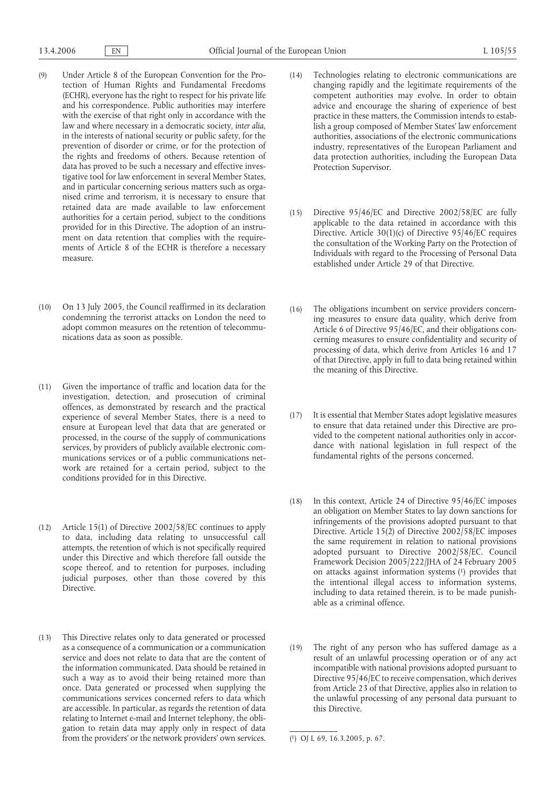- (9) Under Article 8 of the European Convention for the Protection of Human Rights and Fundamental Freedoms (ECHR), everyone has the right to respect for his private life and his correspondence. Public authorities may interfere with the exercise of that right only in accordance with the law and where necessary in a democratic society, *inter alia*, in the interests of national security or public safety, for the prevention of disorder or crime, or for the protection of the rights and freedoms of others. Because retention of data has proved to be such a necessary and effective investigative tool for law enforcement in several Member States, and in particular concerning serious matters such as organised crime and terrorism, it is necessary to ensure that retained data are made available to law enforcement authorities for a certain period, subject to the conditions provided for in this Directive. The adoption of an instrument on data retention that complies with the requirements of Article 8 of the ECHR is therefore a necessary measure.
- (10) On 13 July 2005, the Council reaffirmed in its declaration condemning the terrorist attacks on London the need to adopt common measures on the retention of telecommunications data as soon as possible.
- (11) Given the importance of traffic and location data for the investigation, detection, and prosecution of criminal offences, as demonstrated by research and the practical experience of several Member States, there is a need to ensure at European level that data that are generated or processed, in the course of the supply of communications services, by providers of publicly available electronic communications services or of a public communications network are retained for a certain period, subject to the conditions provided for in this Directive.
- (12) Article 15(1) of Directive 2002/58/EC continues to apply to data, including data relating to unsuccessful call attempts, the retention of which is not specifically required under this Directive and which therefore fall outside the scope thereof, and to retention for purposes, including judicial purposes, other than those covered by this Directive.
- (13) This Directive relates only to data generated or processed as a consequence of a communication or a communication service and does not relate to data that are the content of the information communicated. Data should be retained in such a way as to avoid their being retained more than once. Data generated or processed when supplying the communications services concerned refers to data which are accessible. In particular, as regards the retention of data relating to Internet e-mail and Internet telephony, the obligation to retain data may apply only in respect of data from the providers' or the network providers' own services.
- (14) Technologies relating to electronic communications are changing rapidly and the legitimate requirements of the competent authorities may evolve. In order to obtain advice and encourage the sharing of experience of best practice in these matters, the Commission intends to establish a group composed of Member States' law enforcement authorities, associations of the electronic communications industry, representatives of the European Parliament and data protection authorities, including the European Data Protection Supervisor.
- (15) Directive 95/46/EC and Directive 2002/58/EC are fully applicable to the data retained in accordance with this Directive. Article 30(1)(c) of Directive 95/46/EC requires the consultation of the Working Party on the Protection of Individuals with regard to the Processing of Personal Data established under Article 29 of that Directive.
- (16) The obligations incumbent on service providers concerning measures to ensure data quality, which derive from Article 6 of Directive 95/46/EC, and their obligations concerning measures to ensure confidentiality and security of processing of data, which derive from Articles 16 and 17 of that Directive, apply in full to data being retained within the meaning of this Directive.
- (17) It is essential that Member States adopt legislative measures to ensure that data retained under this Directive are provided to the competent national authorities only in accordance with national legislation in full respect of the fundamental rights of the persons concerned.
- (18) In this context, Article 24 of Directive 95/46/EC imposes an obligation on Member States to lay down sanctions for infringements of the provisions adopted pursuant to that Directive. Article 15(2) of Directive 2002/58/EC imposes the same requirement in relation to national provisions adopted pursuant to Directive 2002/58/EC. Council Framework Decision 2005/222/JHA of 24 February 2005 on attacks against information systems (1) provides that the intentional illegal access to information systems, including to data retained therein, is to be made punishable as a criminal offence.
- (19) The right of any person who has suffered damage as a result of an unlawful processing operation or of any act incompatible with national provisions adopted pursuant to Directive 95/46/EC to receive compensation, which derives from Article 23 of that Directive, applies also in relation to the unlawful processing of any personal data pursuant to this Directive.

<sup>(</sup> 1) OJ L 69, 16.3.2005, p. 67.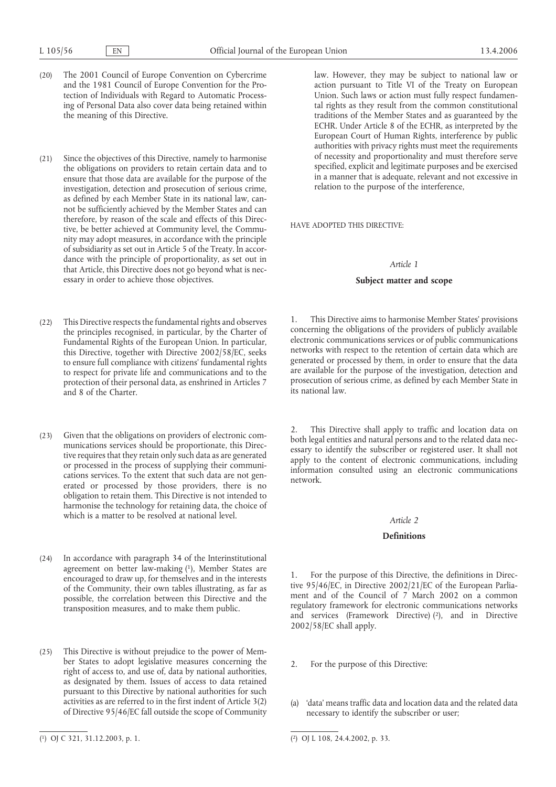- (20) The 2001 Council of Europe Convention on Cybercrime and the 1981 Council of Europe Convention for the Protection of Individuals with Regard to Automatic Processing of Personal Data also cover data being retained within the meaning of this Directive.
- (21) Since the objectives of this Directive, namely to harmonise the obligations on providers to retain certain data and to ensure that those data are available for the purpose of the investigation, detection and prosecution of serious crime, as defined by each Member State in its national law, cannot be sufficiently achieved by the Member States and can therefore, by reason of the scale and effects of this Directive, be better achieved at Community level, the Community may adopt measures, in accordance with the principle of subsidiarity as set out in Article 5 of the Treaty. In accordance with the principle of proportionality, as set out in that Article, this Directive does not go beyond what is necessary in order to achieve those objectives.
- (22) This Directive respects the fundamental rights and observes the principles recognised, in particular, by the Charter of Fundamental Rights of the European Union. In particular, this Directive, together with Directive 2002/58/EC, seeks to ensure full compliance with citizens' fundamental rights to respect for private life and communications and to the protection of their personal data, as enshrined in Articles 7 and 8 of the Charter.
- (23) Given that the obligations on providers of electronic communications services should be proportionate, this Directive requires that they retain only such data as are generated or processed in the process of supplying their communications services. To the extent that such data are not generated or processed by those providers, there is no obligation to retain them. This Directive is not intended to harmonise the technology for retaining data, the choice of which is a matter to be resolved at national level.
- (24) In accordance with paragraph 34 of the Interinstitutional agreement on better law-making (1), Member States are encouraged to draw up, for themselves and in the interests of the Community, their own tables illustrating, as far as possible, the correlation between this Directive and the transposition measures, and to make them public.
- (25) This Directive is without prejudice to the power of Member States to adopt legislative measures concerning the right of access to, and use of, data by national authorities, as designated by them. Issues of access to data retained pursuant to this Directive by national authorities for such activities as are referred to in the first indent of Article 3(2) of Directive 95/46/EC fall outside the scope of Community

law. However, they may be subject to national law or action pursuant to Title VI of the Treaty on European Union. Such laws or action must fully respect fundamental rights as they result from the common constitutional traditions of the Member States and as guaranteed by the ECHR. Under Article 8 of the ECHR, as interpreted by the European Court of Human Rights, interference by public authorities with privacy rights must meet the requirements of necessity and proportionality and must therefore serve specified, explicit and legitimate purposes and be exercised in a manner that is adequate, relevant and not excessive in relation to the purpose of the interference,

HAVE ADOPTED THIS DIRECTIVE:

### *Article 1*

### **Subject matter and scope**

1. This Directive aims to harmonise Member States' provisions concerning the obligations of the providers of publicly available electronic communications services or of public communications networks with respect to the retention of certain data which are generated or processed by them, in order to ensure that the data are available for the purpose of the investigation, detection and prosecution of serious crime, as defined by each Member State in its national law.

This Directive shall apply to traffic and location data on both legal entities and natural persons and to the related data necessary to identify the subscriber or registered user. It shall not apply to the content of electronic communications, including information consulted using an electronic communications network.

# *Article 2*

# **Definitions**

For the purpose of this Directive, the definitions in Directive 95/46/EC, in Directive 2002/21/EC of the European Parliament and of the Council of 7 March 2002 on a common regulatory framework for electronic communications networks and services (Framework Directive)  $(2)$ , and in Directive 2002/58/EC shall apply.

- 2. For the purpose of this Directive:
- (a) 'data' means traffic data and location data and the related data necessary to identify the subscriber or user;

<sup>2)</sup> OJ L 108, 24.4.2002, p. 33.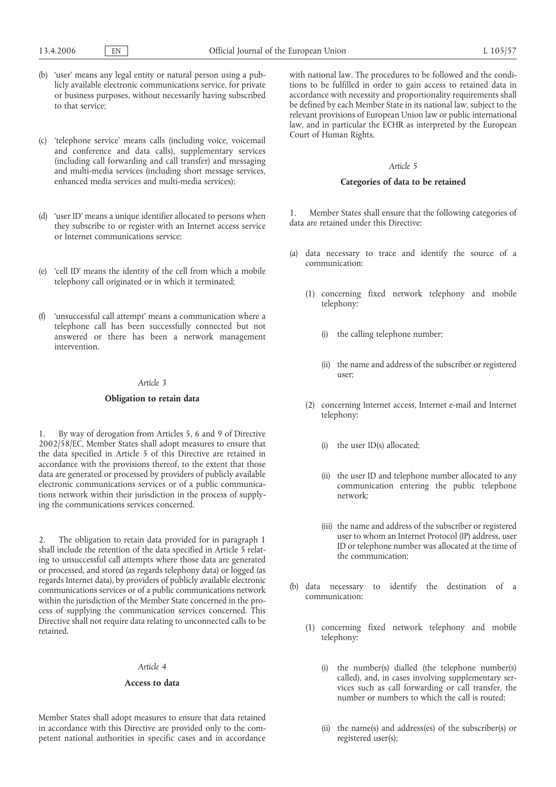- (b) 'user' means any legal entity or natural person using a publicly available electronic communications service, for private or business purposes, without necessarily having subscribed to that service;
- (c) 'telephone service' means calls (including voice, voicemail and conference and data calls), supplementary services (including call forwarding and call transfer) and messaging and multi-media services (including short message services, enhanced media services and multi-media services);
- (d) 'user ID' means a unique identifier allocated to persons when they subscribe to or register with an Internet access service or Internet communications service;
- (e) 'cell ID' means the identity of the cell from which a mobile telephony call originated or in which it terminated;
- (f) 'unsuccessful call attempt' means a communication where a telephone call has been successfully connected but not answered or there has been a network management intervention.

#### *Article 3*

#### **Obligation to retain data**

1. By way of derogation from Articles 5, 6 and 9 of Directive 2002/58/EC, Member States shall adopt measures to ensure that the data specified in Article 5 of this Directive are retained in accordance with the provisions thereof, to the extent that those data are generated or processed by providers of publicly available electronic communications services or of a public communications network within their jurisdiction in the process of supplying the communications services concerned.

2. The obligation to retain data provided for in paragraph 1 shall include the retention of the data specified in Article 5 relating to unsuccessful call attempts where those data are generated or processed, and stored (as regards telephony data) or logged (as regards Internet data), by providers of publicly available electronic communications services or of a public communications network within the jurisdiction of the Member State concerned in the process of supplying the communication services concerned. This Directive shall not require data relating to unconnected calls to be retained.

#### *Article 4*

# **Access to data**

Member States shall adopt measures to ensure that data retained in accordance with this Directive are provided only to the competent national authorities in specific cases and in accordance with national law. The procedures to be followed and the conditions to be fulfilled in order to gain access to retained data in accordance with necessity and proportionality requirements shall be defined by each Member State in its national law, subject to the relevant provisions of European Union law or public international law, and in particular the ECHR as interpreted by the European Court of Human Rights.

#### *Article 5*

## **Categories of data to be retained**

1. Member States shall ensure that the following categories of data are retained under this Directive:

- (a) data necessary to trace and identify the source of a communication:
	- (1) concerning fixed network telephony and mobile telephony:
		- (i) the calling telephone number;
		- (ii) the name and address of the subscriber or registered user;
	- (2) concerning Internet access, Internet e-mail and Internet telephony:
		- (i) the user ID(s) allocated;
		- (ii) the user ID and telephone number allocated to any communication entering the public telephone network;
		- (iii) the name and address of the subscriber or registered user to whom an Internet Protocol (IP) address, user ID or telephone number was allocated at the time of the communication;
- (b) data necessary to identify the destination of a communication:
	- (1) concerning fixed network telephony and mobile telephony:
		- (i) the number(s) dialled (the telephone number(s) called), and, in cases involving supplementary services such as call forwarding or call transfer, the number or numbers to which the call is routed;
		- (ii) the name(s) and address(es) of the subscriber(s) or registered user(s);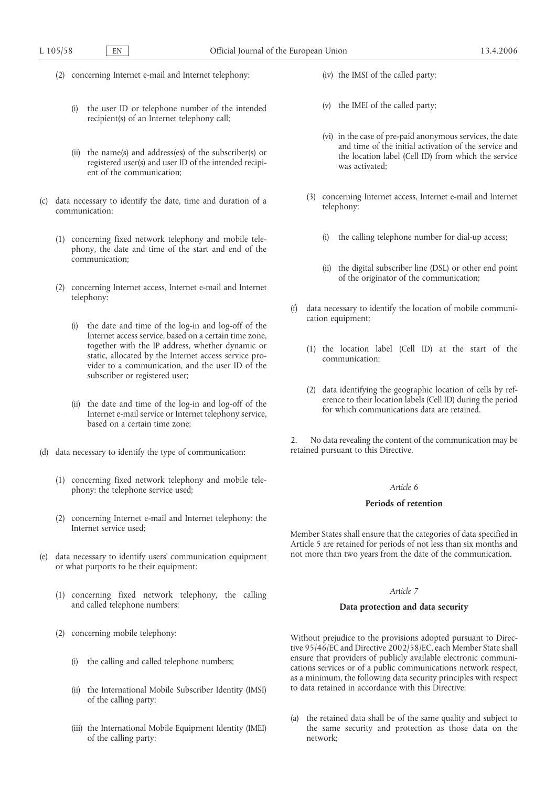- (2) concerning Internet e-mail and Internet telephony:
	- (i) the user ID or telephone number of the intended recipient(s) of an Internet telephony call;
	- (ii) the name(s) and address(es) of the subscriber(s) or registered user(s) and user ID of the intended recipient of the communication;
- (c) data necessary to identify the date, time and duration of a communication:
	- (1) concerning fixed network telephony and mobile telephony, the date and time of the start and end of the communication;
	- (2) concerning Internet access, Internet e-mail and Internet telephony:
		- (i) the date and time of the log-in and log-off of the Internet access service, based on a certain time zone, together with the IP address, whether dynamic or static, allocated by the Internet access service provider to a communication, and the user ID of the subscriber or registered user;
		- (ii) the date and time of the log-in and log-off of the Internet e-mail service or Internet telephony service, based on a certain time zone;
- (d) data necessary to identify the type of communication:
	- (1) concerning fixed network telephony and mobile telephony: the telephone service used;
	- (2) concerning Internet e-mail and Internet telephony: the Internet service used;
- (e) data necessary to identify users' communication equipment or what purports to be their equipment:
	- (1) concerning fixed network telephony, the calling and called telephone numbers;
	- (2) concerning mobile telephony:
		- (i) the calling and called telephone numbers;
		- (ii) the International Mobile Subscriber Identity (IMSI) of the calling party;
		- (iii) the International Mobile Equipment Identity (IMEI) of the calling party;
- (iv) the IMSI of the called party;
- (v) the IMEI of the called party;
- (vi) in the case of pre-paid anonymous services, the date and time of the initial activation of the service and the location label (Cell ID) from which the service was activated;
- (3) concerning Internet access, Internet e-mail and Internet telephony:
	- (i) the calling telephone number for dial-up access;
	- (ii) the digital subscriber line (DSL) or other end point of the originator of the communication;
- (f) data necessary to identify the location of mobile communication equipment:
	- (1) the location label (Cell ID) at the start of the communication;
	- (2) data identifying the geographic location of cells by reference to their location labels (Cell ID) during the period for which communications data are retained.

2. No data revealing the content of the communication may be retained pursuant to this Directive.

# *Article 6*

## **Periods of retention**

Member States shall ensure that the categories of data specified in Article 5 are retained for periods of not less than six months and not more than two years from the date of the communication.

# *Article 7*

## **Data protection and data security**

Without prejudice to the provisions adopted pursuant to Directive 95/46/EC and Directive 2002/58/EC, each Member State shall ensure that providers of publicly available electronic communications services or of a public communications network respect, as a minimum, the following data security principles with respect to data retained in accordance with this Directive:

(a) the retained data shall be of the same quality and subject to the same security and protection as those data on the network;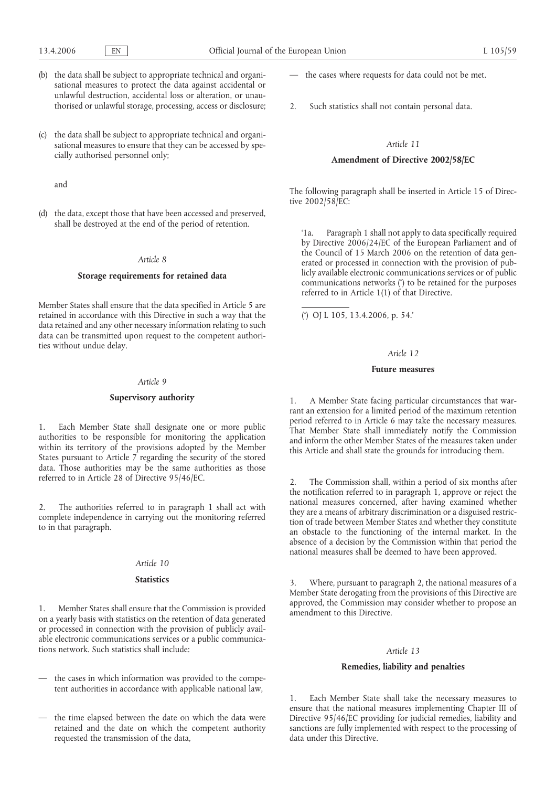- (b) the data shall be subject to appropriate technical and organisational measures to protect the data against accidental or unlawful destruction, accidental loss or alteration, or unauthorised or unlawful storage, processing, access or disclosure;
- (c) the data shall be subject to appropriate technical and organisational measures to ensure that they can be accessed by specially authorised personnel only;

and

(d) the data, except those that have been accessed and preserved, shall be destroyed at the end of the period of retention.

## *Article 8*

#### **Storage requirements for retained data**

Member States shall ensure that the data specified in Article 5 are retained in accordance with this Directive in such a way that the data retained and any other necessary information relating to such data can be transmitted upon request to the competent authorities without undue delay.

#### *Article 9*

#### **Supervisory authority**

1. Each Member State shall designate one or more public authorities to be responsible for monitoring the application within its territory of the provisions adopted by the Member States pursuant to Article  $\overline{7}$  regarding the security of the stored data. Those authorities may be the same authorities as those referred to in Article 28 of Directive 95/46/EC.

2. The authorities referred to in paragraph 1 shall act with complete independence in carrying out the monitoring referred to in that paragraph.

#### *Article 10*

### **Statistics**

1. Member States shall ensure that the Commission is provided on a yearly basis with statistics on the retention of data generated or processed in connection with the provision of publicly available electronic communications services or a public communications network. Such statistics shall include:

- the cases in which information was provided to the competent authorities in accordance with applicable national law,
- the time elapsed between the date on which the data were retained and the date on which the competent authority requested the transmission of the data,
- the cases where requests for data could not be met.
- 2. Such statistics shall not contain personal data.

#### *Article 11*

## **Amendment of Directive 2002/58/EC**

The following paragraph shall be inserted in Article 15 of Directive 2002/58/EC:

'1a. Paragraph 1 shall not apply to data specifically required by Directive 2006/24/EC of the European Parliament and of the Council of 15 March 2006 on the retention of data generated or processed in connection with the provision of publicly available electronic communications services or of public communications networks (\* ) to be retained for the purposes referred to in Article 1(1) of that Directive.

( \* ) OJ L 105, 13.4.2006, p. 54.'

#### *Aricle 12*

#### **Future measures**

1. A Member State facing particular circumstances that warrant an extension for a limited period of the maximum retention period referred to in Article 6 may take the necessary measures. That Member State shall immediately notify the Commission and inform the other Member States of the measures taken under this Article and shall state the grounds for introducing them.

The Commission shall, within a period of six months after the notification referred to in paragraph 1, approve or reject the national measures concerned, after having examined whether they are a means of arbitrary discrimination or a disguised restriction of trade between Member States and whether they constitute an obstacle to the functioning of the internal market. In the absence of a decision by the Commission within that period the national measures shall be deemed to have been approved.

3. Where, pursuant to paragraph 2, the national measures of a Member State derogating from the provisions of this Directive are approved, the Commission may consider whether to propose an amendment to this Directive.

## *Article 13*

## **Remedies, liability and penalties**

1. Each Member State shall take the necessary measures to ensure that the national measures implementing Chapter III of Directive 95/46/EC providing for judicial remedies, liability and sanctions are fully implemented with respect to the processing of data under this Directive.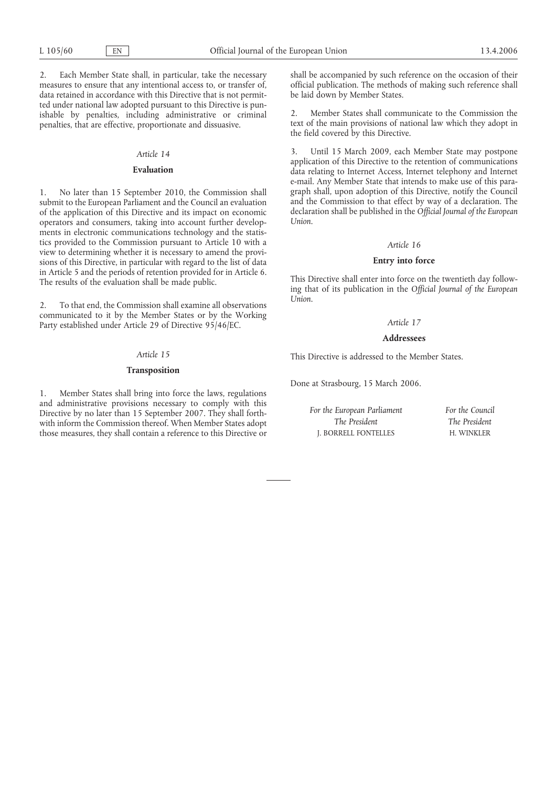2. Each Member State shall, in particular, take the necessary measures to ensure that any intentional access to, or transfer of, data retained in accordance with this Directive that is not permitted under national law adopted pursuant to this Directive is punishable by penalties, including administrative or criminal penalties, that are effective, proportionate and dissuasive.

#### *Article 14*

### **Evaluation**

No later than 15 September 2010, the Commission shall submit to the European Parliament and the Council an evaluation of the application of this Directive and its impact on economic operators and consumers, taking into account further developments in electronic communications technology and the statistics provided to the Commission pursuant to Article 10 with a view to determining whether it is necessary to amend the provisions of this Directive, in particular with regard to the list of data in Article 5 and the periods of retention provided for in Article 6. The results of the evaluation shall be made public.

2. To that end, the Commission shall examine all observations communicated to it by the Member States or by the Working Party established under Article 29 of Directive 95/46/EC.

# *Article 15*

#### **Transposition**

1. Member States shall bring into force the laws, regulations and administrative provisions necessary to comply with this Directive by no later than 15 September 2007. They shall forthwith inform the Commission thereof. When Member States adopt those measures, they shall contain a reference to this Directive or

shall be accompanied by such reference on the occasion of their official publication. The methods of making such reference shall be laid down by Member States.

2. Member States shall communicate to the Commission the text of the main provisions of national law which they adopt in the field covered by this Directive.

3. Until 15 March 2009, each Member State may postpone application of this Directive to the retention of communications data relating to Internet Access, Internet telephony and Internet e-mail. Any Member State that intends to make use of this paragraph shall, upon adoption of this Directive, notify the Council and the Commission to that effect by way of a declaration. The declaration shall be published in the *Official Journal of the European Union*.

#### *Article 16*

## **Entry into force**

This Directive shall enter into force on the twentieth day following that of its publication in the *Official Journal of the European Union*.

### *Article 17*

#### **Addressees**

This Directive is addressed to the Member States.

Done at Strasbourg, 15 March 2006.

*For the European Parliament The President* J. BORRELL FONTELLES

*For the Council The President* H. WINKLER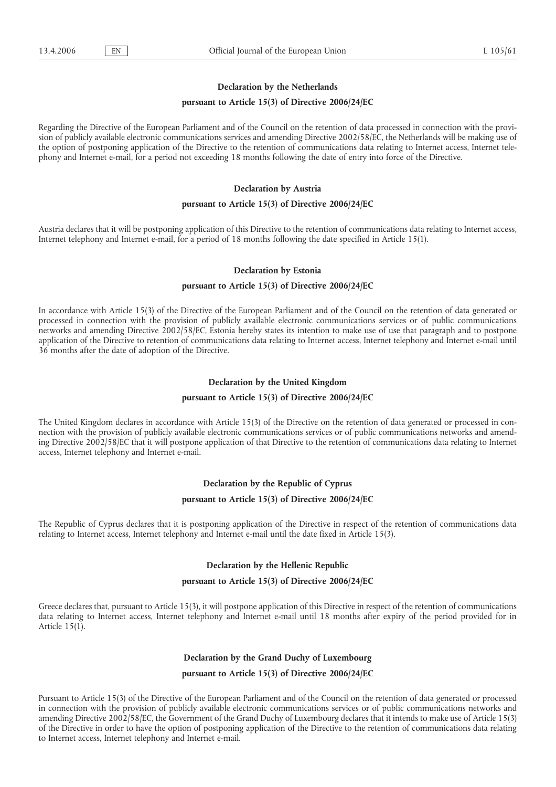## **Declaration by the Netherlands**

## **pursuant to Article 15(3) of Directive 2006/24/EC**

Regarding the Directive of the European Parliament and of the Council on the retention of data processed in connection with the provision of publicly available electronic communications services and amending Directive 2002/58/EC, the Netherlands will be making use of the option of postponing application of the Directive to the retention of communications data relating to Internet access, Internet telephony and Internet e-mail, for a period not exceeding 18 months following the date of entry into force of the Directive.

# **Declaration by Austria**

## **pursuant to Article 15(3) of Directive 2006/24/EC**

Austria declares that it will be postponing application of this Directive to the retention of communications data relating to Internet access, Internet telephony and Internet e-mail, for a period of 18 months following the date specified in Article 15(1).

### **Declaration by Estonia**

### **pursuant to Article 15(3) of Directive 2006/24/EC**

In accordance with Article 15(3) of the Directive of the European Parliament and of the Council on the retention of data generated or processed in connection with the provision of publicly available electronic communications services or of public communications networks and amending Directive 2002/58/EC, Estonia hereby states its intention to make use of use that paragraph and to postpone application of the Directive to retention of communications data relating to Internet access, Internet telephony and Internet e-mail until 36 months after the date of adoption of the Directive.

## **Declaration by the United Kingdom**

#### **pursuant to Article 15(3) of Directive 2006/24/EC**

The United Kingdom declares in accordance with Article 15(3) of the Directive on the retention of data generated or processed in connection with the provision of publicly available electronic communications services or of public communications networks and amending Directive 2002/58/EC that it will postpone application of that Directive to the retention of communications data relating to Internet access, Internet telephony and Internet e-mail.

## **Declaration by the Republic of Cyprus**

#### **pursuant to Article 15(3) of Directive 2006/24/EC**

The Republic of Cyprus declares that it is postponing application of the Directive in respect of the retention of communications data relating to Internet access, Internet telephony and Internet e-mail until the date fixed in Article 15(3).

### **Declaration by the Hellenic Republic**

#### **pursuant to Article 15(3) of Directive 2006/24/EC**

Greece declares that, pursuant to Article 15(3), it will postpone application of this Directive in respect of the retention of communications data relating to Internet access, Internet telephony and Internet e-mail until 18 months after expiry of the period provided for in Article 15(1).

# **Declaration by the Grand Duchy of Luxembourg**

### **pursuant to Article 15(3) of Directive 2006/24/EC**

Pursuant to Article 15(3) of the Directive of the European Parliament and of the Council on the retention of data generated or processed in connection with the provision of publicly available electronic communications services or of public communications networks and amending Directive 2002/58/EC, the Government of the Grand Duchy of Luxembourg declares that it intends to make use of Article 15(3) of the Directive in order to have the option of postponing application of the Directive to the retention of communications data relating to Internet access, Internet telephony and Internet e-mail.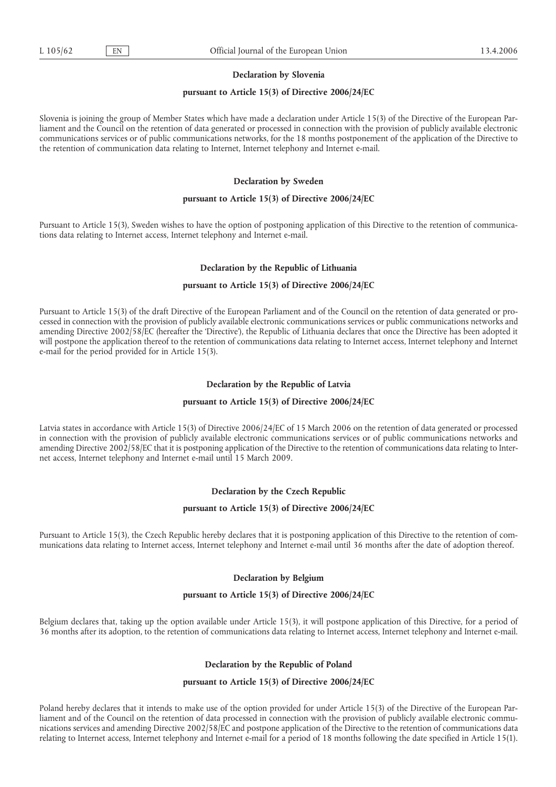### **Declaration by Slovenia**

### **pursuant to Article 15(3) of Directive 2006/24/EC**

Slovenia is joining the group of Member States which have made a declaration under Article 15(3) of the Directive of the European Parliament and the Council on the retention of data generated or processed in connection with the provision of publicly available electronic communications services or of public communications networks, for the 18 months postponement of the application of the Directive to the retention of communication data relating to Internet, Internet telephony and Internet e-mail.

## **Declaration by Sweden**

## **pursuant to Article 15(3) of Directive 2006/24/EC**

Pursuant to Article 15(3), Sweden wishes to have the option of postponing application of this Directive to the retention of communications data relating to Internet access, Internet telephony and Internet e-mail.

## **Declaration by the Republic of Lithuania**

## **pursuant to Article 15(3) of Directive 2006/24/EC**

Pursuant to Article 15(3) of the draft Directive of the European Parliament and of the Council on the retention of data generated or processed in connection with the provision of publicly available electronic communications services or public communications networks and amending Directive 2002/58/EC (hereafter the 'Directive'), the Republic of Lithuania declares that once the Directive has been adopted it will postpone the application thereof to the retention of communications data relating to Internet access, Internet telephony and Internet e-mail for the period provided for in Article 15(3).

#### **Declaration by the Republic of Latvia**

## **pursuant to Article 15(3) of Directive 2006/24/EC**

Latvia states in accordance with Article 15(3) of Directive 2006/24/EC of 15 March 2006 on the retention of data generated or processed in connection with the provision of publicly available electronic communications services or of public communications networks and amending Directive 2002/58/EC that it is postponing application of the Directive to the retention of communications data relating to Internet access, Internet telephony and Internet e-mail until 15 March 2009.

## **Declaration by the Czech Republic**

### **pursuant to Article 15(3) of Directive 2006/24/EC**

Pursuant to Article 15(3), the Czech Republic hereby declares that it is postponing application of this Directive to the retention of communications data relating to Internet access, Internet telephony and Internet e-mail until 36 months after the date of adoption thereof.

## **Declaration by Belgium**

#### **pursuant to Article 15(3) of Directive 2006/24/EC**

Belgium declares that, taking up the option available under Article 15(3), it will postpone application of this Directive, for a period of 36 months after its adoption, to the retention of communications data relating to Internet access, Internet telephony and Internet e-mail.

## **Declaration by the Republic of Poland**

## **pursuant to Article 15(3) of Directive 2006/24/EC**

Poland hereby declares that it intends to make use of the option provided for under Article 15(3) of the Directive of the European Parliament and of the Council on the retention of data processed in connection with the provision of publicly available electronic communications services and amending Directive 2002/58/EC and postpone application of the Directive to the retention of communications data relating to Internet access, Internet telephony and Internet e-mail for a period of 18 months following the date specified in Article 15(1).